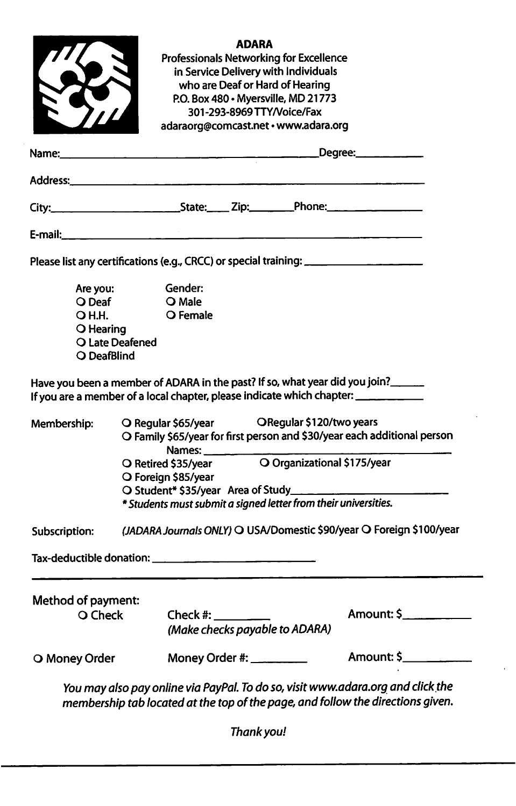| Method of payment:<br>O Check                                                                                 |                                                                                                                                          | Check #: www.check                           |       | (Make checks payable to ADARA)                                          | Amount: \$                                                                                                                                                      |  |
|---------------------------------------------------------------------------------------------------------------|------------------------------------------------------------------------------------------------------------------------------------------|----------------------------------------------|-------|-------------------------------------------------------------------------|-----------------------------------------------------------------------------------------------------------------------------------------------------------------|--|
|                                                                                                               |                                                                                                                                          |                                              |       |                                                                         |                                                                                                                                                                 |  |
|                                                                                                               |                                                                                                                                          |                                              |       |                                                                         |                                                                                                                                                                 |  |
| (JADARA Journals ONLY) O USA/Domestic \$90/year O Foreign \$100/year<br>Subscription:                         |                                                                                                                                          |                                              |       |                                                                         |                                                                                                                                                                 |  |
|                                                                                                               | * Students must submit a signed letter from their universities.                                                                          |                                              |       |                                                                         |                                                                                                                                                                 |  |
|                                                                                                               | O Foreign \$85/year                                                                                                                      |                                              |       |                                                                         |                                                                                                                                                                 |  |
|                                                                                                               | O Family \$65/year for first person and \$30/year each additional person<br>Names:<br>O Organizational \$175/year<br>O Retired \$35/year |                                              |       |                                                                         |                                                                                                                                                                 |  |
| Membership:                                                                                                   |                                                                                                                                          | O Regular \$65/year ORegular \$120/two years |       |                                                                         |                                                                                                                                                                 |  |
|                                                                                                               |                                                                                                                                          |                                              |       |                                                                         | Have you been a member of ADARA in the past? If so, what year did you join?<br>If you are a member of a local chapter, please indicate which chapter: _________ |  |
| O DeafBlind                                                                                                   | O Late Deafened                                                                                                                          |                                              |       |                                                                         |                                                                                                                                                                 |  |
| O Hearing                                                                                                     |                                                                                                                                          |                                              |       |                                                                         |                                                                                                                                                                 |  |
| O Deaf<br><b>OH.H.</b>                                                                                        |                                                                                                                                          | O Male<br>O Female                           |       |                                                                         |                                                                                                                                                                 |  |
| Are you:                                                                                                      |                                                                                                                                          | Gender:                                      |       |                                                                         |                                                                                                                                                                 |  |
|                                                                                                               |                                                                                                                                          |                                              |       |                                                                         | Please list any certifications (e.g., CRCC) or special training: ______________________                                                                         |  |
|                                                                                                               |                                                                                                                                          |                                              |       |                                                                         |                                                                                                                                                                 |  |
|                                                                                                               |                                                                                                                                          |                                              |       |                                                                         |                                                                                                                                                                 |  |
| Address: 2008 - 2008 - 2008 - 2008 - 2008 - 2008 - 2008 - 2008 - 2008 - 2008 - 2008 - 2008 - 2008 - 2008 - 20 |                                                                                                                                          |                                              |       |                                                                         |                                                                                                                                                                 |  |
| Name:                                                                                                         |                                                                                                                                          |                                              |       |                                                                         |                                                                                                                                                                 |  |
|                                                                                                               |                                                                                                                                          |                                              |       | 301-293-8969 TTY/Voice/Fax<br>adaraorg@comcast.net · www.adara.org      |                                                                                                                                                                 |  |
|                                                                                                               |                                                                                                                                          |                                              |       | P.O. Box 480 · Myersville, MD 21773                                     |                                                                                                                                                                 |  |
|                                                                                                               |                                                                                                                                          |                                              |       | in Service Delivery with Individuals<br>who are Deaf or Hard of Hearing |                                                                                                                                                                 |  |
|                                                                                                               |                                                                                                                                          |                                              | ADARA | Professionals Networking for Excellence                                 |                                                                                                                                                                 |  |
|                                                                                                               |                                                                                                                                          |                                              |       |                                                                         |                                                                                                                                                                 |  |
|                                                                                                               |                                                                                                                                          |                                              |       |                                                                         |                                                                                                                                                                 |  |

Thank you!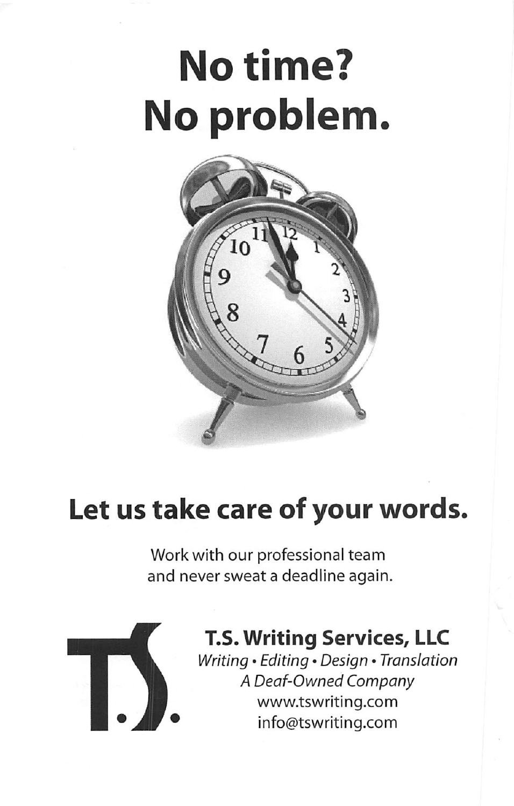# No time? No problem



## Let us take care of your words.

Work with our professional team and never sweat a deadline again.



## T.S. Writing Services, LLC

Writing • Editing • Design • Translation A Deaf-Owned Company www.tswriting.com info@tswriting.com